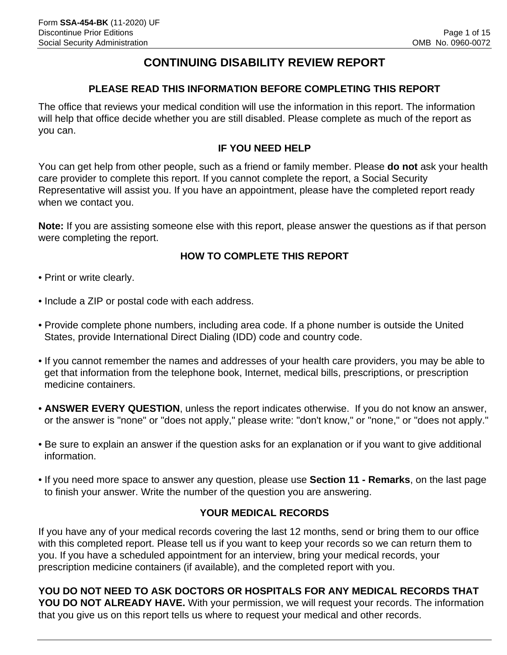## **CONTINUING DISABILITY REVIEW REPORT**

### **PLEASE READ THIS INFORMATION BEFORE COMPLETING THIS REPORT**

The office that reviews your medical condition will use the information in this report. The information will help that office decide whether you are still disabled. Please complete as much of the report as you can.

### **IF YOU NEED HELP**

You can get help from other people, such as a friend or family member. Please **do not** ask your health care provider to complete this report. If you cannot complete the report, a Social Security Representative will assist you. If you have an appointment, please have the completed report ready when we contact you.

**Note:** If you are assisting someone else with this report, please answer the questions as if that person were completing the report.

### **HOW TO COMPLETE THIS REPORT**

- Print or write clearly.
- Include a ZIP or postal code with each address.
- Provide complete phone numbers, including area code. If a phone number is outside the United States, provide International Direct Dialing (IDD) code and country code.
- If you cannot remember the names and addresses of your health care providers, you may be able to get that information from the telephone book, Internet, medical bills, prescriptions, or prescription medicine containers.
- **ANSWER EVERY QUESTION**, unless the report indicates otherwise. If you do not know an answer, or the answer is "none" or "does not apply," please write: "don't know," or "none," or "does not apply."
- Be sure to explain an answer if the question asks for an explanation or if you want to give additional information.
- If you need more space to answer any question, please use **Section 11 Remarks**, on the last page to finish your answer. Write the number of the question you are answering.

### **YOUR MEDICAL RECORDS**

If you have any of your medical records covering the last 12 months, send or bring them to our office with this completed report. Please tell us if you want to keep your records so we can return them to you. If you have a scheduled appointment for an interview, bring your medical records, your prescription medicine containers (if available), and the completed report with you.

**YOU DO NOT NEED TO ASK DOCTORS OR HOSPITALS FOR ANY MEDICAL RECORDS THAT YOU DO NOT ALREADY HAVE.** With your permission, we will request your records. The information that you give us on this report tells us where to request your medical and other records.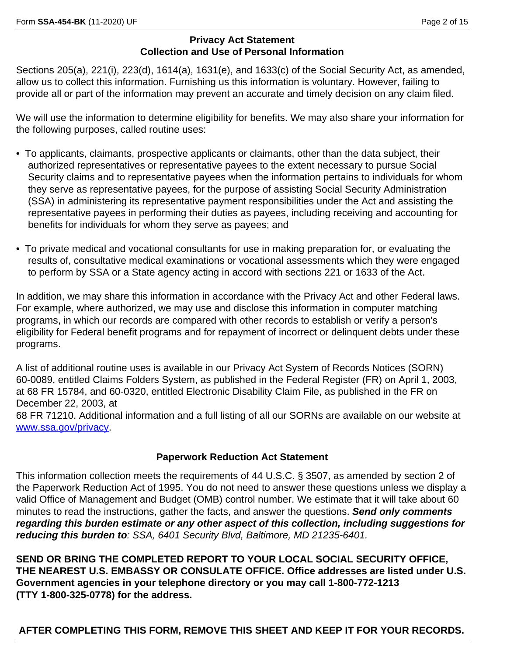#### **Privacy Act Statement Collection and Use of Personal Information**

Sections 205(a), 221(i), 223(d), 1614(a), 1631(e), and 1633(c) of the Social Security Act, as amended, allow us to collect this information. Furnishing us this information is voluntary. However, failing to provide all or part of the information may prevent an accurate and timely decision on any claim filed.

We will use the information to determine eligibility for benefits. We may also share your information for the following purposes, called routine uses:

- To applicants, claimants, prospective applicants or claimants, other than the data subject, their authorized representatives or representative payees to the extent necessary to pursue Social Security claims and to representative payees when the information pertains to individuals for whom they serve as representative payees, for the purpose of assisting Social Security Administration (SSA) in administering its representative payment responsibilities under the Act and assisting the representative payees in performing their duties as payees, including receiving and accounting for benefits for individuals for whom they serve as payees; and
- To private medical and vocational consultants for use in making preparation for, or evaluating the results of, consultative medical examinations or vocational assessments which they were engaged to perform by SSA or a State agency acting in accord with sections 221 or 1633 of the Act.

In addition, we may share this information in accordance with the Privacy Act and other Federal laws. For example, where authorized, we may use and disclose this information in computer matching programs, in which our records are compared with other records to establish or verify a person's eligibility for Federal benefit programs and for repayment of incorrect or delinquent debts under these programs.

A list of additional routine uses is available in our Privacy Act System of Records Notices (SORN) 60-0089, entitled Claims Folders System, as published in the Federal Register (FR) on April 1, 2003, at 68 FR 15784, and 60-0320, entitled Electronic Disability Claim File, as published in the FR on December 22, 2003, at

68 FR 71210. Additional information and a full listing of all our SORNs are available on our website at <www.ssa.gov/privacy>.

### **Paperwork Reduction Act Statement**

This information collection meets the requirements of 44 U.S.C. § 3507, as amended by section 2 of the Paperwork Reduction Act of 1995. You do not need to answer these questions unless we display a valid Office of Management and Budget (OMB) control number. We estimate that it will take about 60 minutes to read the instructions, gather the facts, and answer the questions. *Send only comments regarding this burden estimate or any other aspect of this collection, including suggestions for reducing this burden to: SSA, 6401 Security Blvd, Baltimore, MD 21235-6401.* 

**SEND OR BRING THE COMPLETED REPORT TO YOUR LOCAL SOCIAL SECURITY OFFICE, THE NEAREST U.S. EMBASSY OR CONSULATE OFFICE. Office addresses are listed under U.S. Government agencies in your telephone directory or you may call 1-800-772-1213 (TTY 1-800-325-0778) for the address.** 

 **AFTER COMPLETING THIS FORM, REMOVE THIS SHEET AND KEEP IT FOR YOUR RECORDS.**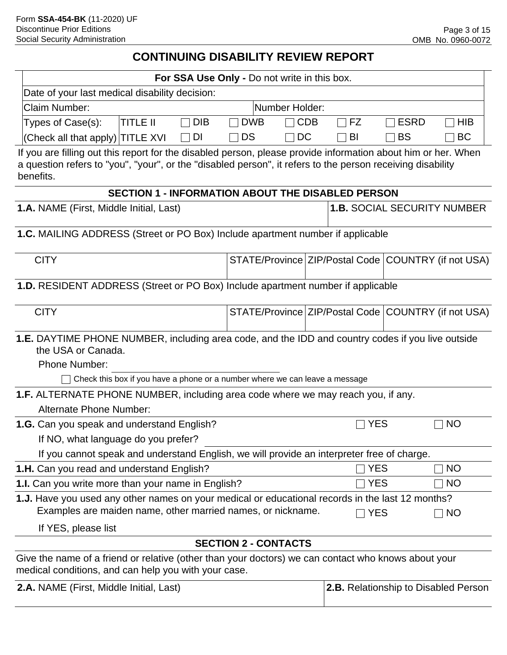## **CONTINUING DISABILITY REVIEW REPORT**

| For SSA Use Only - Do not write in this box.                                                                                                                                                                                             |                             |                |                                                     |             |            |
|------------------------------------------------------------------------------------------------------------------------------------------------------------------------------------------------------------------------------------------|-----------------------------|----------------|-----------------------------------------------------|-------------|------------|
| Date of your last medical disability decision:                                                                                                                                                                                           |                             |                |                                                     |             |            |
| <b>Claim Number:</b>                                                                                                                                                                                                                     |                             | Number Holder: |                                                     |             |            |
| <b>DIB</b><br><b>TITLE II</b><br>Types of Case(s):                                                                                                                                                                                       | <b>DWB</b>                  | <b>CDB</b>     | FZ<br>$\Box$                                        | <b>ESRD</b> | <b>HIB</b> |
| (Check all that apply) TITLE XVI<br>DI                                                                                                                                                                                                   | DS                          | DC             | BI                                                  | <b>BS</b>   | <b>BC</b>  |
| If you are filling out this report for the disabled person, please provide information about him or her. When<br>a question refers to "you", "your", or the "disabled person", it refers to the person receiving disability<br>benefits. |                             |                |                                                     |             |            |
| <b>SECTION 1 - INFORMATION ABOUT THE DISABLED PERSON</b>                                                                                                                                                                                 |                             |                |                                                     |             |            |
| <b>1.A. NAME (First, Middle Initial, Last)</b>                                                                                                                                                                                           |                             |                | <b>1.B. SOCIAL SECURITY NUMBER</b>                  |             |            |
| 1.C. MAILING ADDRESS (Street or PO Box) Include apartment number if applicable                                                                                                                                                           |                             |                |                                                     |             |            |
| <b>CITY</b>                                                                                                                                                                                                                              |                             |                | STATE/Province ZIP/Postal Code COUNTRY (if not USA) |             |            |
| 1.D. RESIDENT ADDRESS (Street or PO Box) Include apartment number if applicable                                                                                                                                                          |                             |                |                                                     |             |            |
| <b>CITY</b>                                                                                                                                                                                                                              |                             |                | STATE/Province ZIP/Postal Code COUNTRY (if not USA) |             |            |
| <b>1.E.</b> DAYTIME PHONE NUMBER, including area code, and the IDD and country codes if you live outside<br>the USA or Canada.                                                                                                           |                             |                |                                                     |             |            |
| <b>Phone Number:</b>                                                                                                                                                                                                                     |                             |                |                                                     |             |            |
| Check this box if you have a phone or a number where we can leave a message                                                                                                                                                              |                             |                |                                                     |             |            |
| 1.F. ALTERNATE PHONE NUMBER, including area code where we may reach you, if any.                                                                                                                                                         |                             |                |                                                     |             |            |
| <b>Alternate Phone Number:</b>                                                                                                                                                                                                           |                             |                |                                                     |             |            |
| <b>NO</b><br>1.G. Can you speak and understand English?<br>YES                                                                                                                                                                           |                             |                |                                                     |             |            |
| If NO, what language do you prefer?                                                                                                                                                                                                      |                             |                |                                                     |             |            |
| If you cannot speak and understand English, we will provide an interpreter free of charge.                                                                                                                                               |                             |                |                                                     |             |            |
| 1.H. Can you read and understand English?                                                                                                                                                                                                |                             |                | <b>YES</b>                                          |             | NO         |
| 1.I. Can you write more than your name in English?                                                                                                                                                                                       |                             |                | <b>YES</b>                                          |             | <b>NO</b>  |
| 1.J. Have you used any other names on your medical or educational records in the last 12 months?                                                                                                                                         |                             |                |                                                     |             |            |
| Examples are maiden name, other married names, or nickname.                                                                                                                                                                              |                             | <b>YES</b>     |                                                     | NO          |            |
| If YES, please list                                                                                                                                                                                                                      |                             |                |                                                     |             |            |
|                                                                                                                                                                                                                                          | <b>SECTION 2 - CONTACTS</b> |                |                                                     |             |            |
| Give the name of a friend or relative (other than your doctors) we can contact who knows about your<br>medical conditions, and can help you with your case.                                                                              |                             |                |                                                     |             |            |
| 2.A. NAME (First, Middle Initial, Last)                                                                                                                                                                                                  |                             |                | 2.B. Relationship to Disabled Person                |             |            |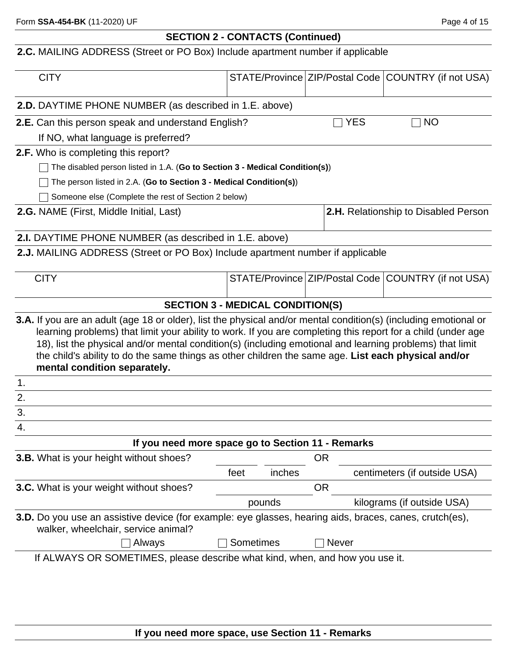## **SECTION 2 - CONTACTS (Continued)**

## **2.C.** MAILING ADDRESS (Street or PO Box) Include apartment number if applicable

|    | <b>CITY</b>                                                                                                                                                                                                                                                                                                                                                                                                                                                                                |           |        |           |              | STATE/Province ZIP/Postal Code COUNTRY (if not USA) |
|----|--------------------------------------------------------------------------------------------------------------------------------------------------------------------------------------------------------------------------------------------------------------------------------------------------------------------------------------------------------------------------------------------------------------------------------------------------------------------------------------------|-----------|--------|-----------|--------------|-----------------------------------------------------|
|    | 2.D. DAYTIME PHONE NUMBER (as described in 1.E. above)                                                                                                                                                                                                                                                                                                                                                                                                                                     |           |        |           |              |                                                     |
|    | 2.E. Can this person speak and understand English?                                                                                                                                                                                                                                                                                                                                                                                                                                         |           |        |           | <b>YES</b>   | <b>NO</b>                                           |
|    | If NO, what language is preferred?                                                                                                                                                                                                                                                                                                                                                                                                                                                         |           |        |           |              |                                                     |
|    | <b>2.F.</b> Who is completing this report?                                                                                                                                                                                                                                                                                                                                                                                                                                                 |           |        |           |              |                                                     |
|    | The disabled person listed in 1.A. (Go to Section 3 - Medical Condition(s))                                                                                                                                                                                                                                                                                                                                                                                                                |           |        |           |              |                                                     |
|    | The person listed in 2.A. (Go to Section 3 - Medical Condition(s))                                                                                                                                                                                                                                                                                                                                                                                                                         |           |        |           |              |                                                     |
|    | Someone else (Complete the rest of Section 2 below)                                                                                                                                                                                                                                                                                                                                                                                                                                        |           |        |           |              |                                                     |
|    | 2.G. NAME (First, Middle Initial, Last)                                                                                                                                                                                                                                                                                                                                                                                                                                                    |           |        |           |              | 2.H. Relationship to Disabled Person                |
|    | 2.I. DAYTIME PHONE NUMBER (as described in 1.E. above)                                                                                                                                                                                                                                                                                                                                                                                                                                     |           |        |           |              |                                                     |
|    | 2.J. MAILING ADDRESS (Street or PO Box) Include apartment number if applicable                                                                                                                                                                                                                                                                                                                                                                                                             |           |        |           |              |                                                     |
|    | <b>CITY</b>                                                                                                                                                                                                                                                                                                                                                                                                                                                                                |           |        |           |              | STATE/Province ZIP/Postal Code COUNTRY (if not USA) |
|    | <b>SECTION 3 - MEDICAL CONDITION(S)</b>                                                                                                                                                                                                                                                                                                                                                                                                                                                    |           |        |           |              |                                                     |
|    | <b>3.A.</b> If you are an adult (age 18 or older), list the physical and/or mental condition(s) (including emotional or<br>learning problems) that limit your ability to work. If you are completing this report for a child (under age<br>18), list the physical and/or mental condition(s) (including emotional and learning problems) that limit<br>the child's ability to do the same things as other children the same age. List each physical and/or<br>mental condition separately. |           |        |           |              |                                                     |
| 1. |                                                                                                                                                                                                                                                                                                                                                                                                                                                                                            |           |        |           |              |                                                     |
| 2. |                                                                                                                                                                                                                                                                                                                                                                                                                                                                                            |           |        |           |              |                                                     |
| 3. |                                                                                                                                                                                                                                                                                                                                                                                                                                                                                            |           |        |           |              |                                                     |
| 4. |                                                                                                                                                                                                                                                                                                                                                                                                                                                                                            |           |        |           |              |                                                     |
|    | If you need more space go to Section 11 - Remarks                                                                                                                                                                                                                                                                                                                                                                                                                                          |           |        |           |              |                                                     |
|    | 3.B. What is your height without shoes?                                                                                                                                                                                                                                                                                                                                                                                                                                                    |           |        | <b>OR</b> |              |                                                     |
|    |                                                                                                                                                                                                                                                                                                                                                                                                                                                                                            | feet      | inches |           |              | centimeters (if outside USA)                        |
|    | 3.C. What is your weight without shoes?                                                                                                                                                                                                                                                                                                                                                                                                                                                    |           |        | <b>OR</b> |              |                                                     |
|    |                                                                                                                                                                                                                                                                                                                                                                                                                                                                                            |           | pounds |           |              | kilograms (if outside USA)                          |
|    | 3.D. Do you use an assistive device (for example: eye glasses, hearing aids, braces, canes, crutch(es),<br>walker, wheelchair, service animal?                                                                                                                                                                                                                                                                                                                                             |           |        |           |              |                                                     |
|    | Always                                                                                                                                                                                                                                                                                                                                                                                                                                                                                     | Sometimes |        |           | <b>Never</b> |                                                     |
|    | If ALWAYS OR SOMETIMES, please describe what kind, when, and how you use it.                                                                                                                                                                                                                                                                                                                                                                                                               |           |        |           |              |                                                     |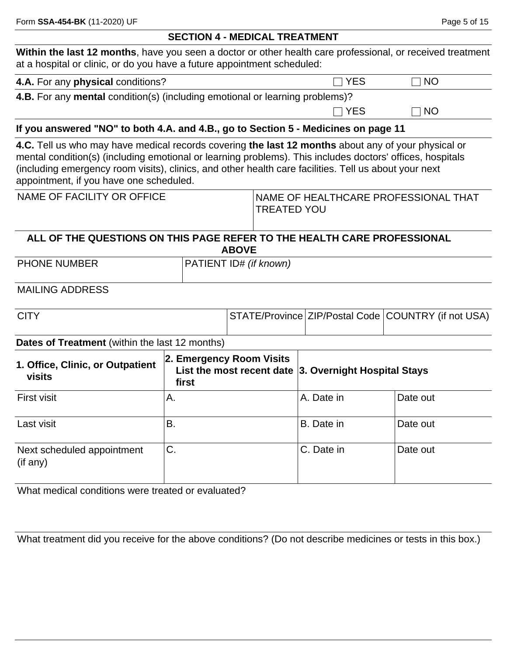#### **SECTION 4 - MEDICAL TREATMENT**

**Within the last 12 months**, have you seen a doctor or other health care professional, or received treatment at a hospital or clinic, or do you have a future appointment scheduled:

| 4.A. For any physical conditions? | $\Box$ YES | $\Box$ NO |
|-----------------------------------|------------|-----------|
|-----------------------------------|------------|-----------|

**4.B.** For any **mental** condition(s) (including emotional or learning problems)?

 $\Box$  YES  $\Box$  NO

#### **If you answered "NO" to both 4.A. and 4.B., go to Section 5 - Medicines on page 11**

**4.C.** Tell us who may have medical records covering **the last 12 months** about any of your physical or mental condition(s) (including emotional or learning problems). This includes doctors' offices, hospitals (including emergency room visits), clinics, and other health care facilities. Tell us about your next appointment, if you have one scheduled.

| INAME OF HEALTHCARE PROFESSIONAL THAT |
|---------------------------------------|
| TREATED YOU                           |
|                                       |

### **ALL OF THE QUESTIONS ON THIS PAGE REFER TO THE HEALTH CARE PROFESSIONAL ABOVE**

PHONE NUMBER **PHONE NUMBER PATIENT ID#** *(if known)* 

#### MAILING ADDRESS

| <b>CITY</b> |  | STATE/Province ZIP/Postal Code COUNTRY (if not USA) |
|-------------|--|-----------------------------------------------------|
|             |  |                                                     |

#### **Dates of Treatment** (within the last 12 months)

| 1. Office, Clinic, or Outpatient<br>visits | 2. Emergency Room Visits<br>List the most recent date $ 3$ . Overnight Hospital Stays<br>first |            |          |
|--------------------------------------------|------------------------------------------------------------------------------------------------|------------|----------|
| <b>First visit</b>                         | Α.                                                                                             | A. Date in | Date out |
| Last visit                                 | ΪВ.                                                                                            | B. Date in | Date out |
| Next scheduled appointment<br>(if any)     | ľС.                                                                                            | C. Date in | Date out |

What medical conditions were treated or evaluated?

What treatment did you receive for the above conditions? (Do not describe medicines or tests in this box.)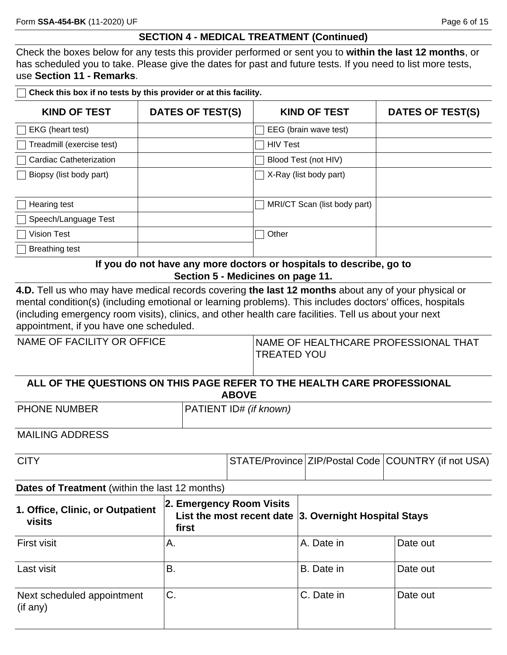Check the boxes below for any tests this provider performed or sent you to **within the last 12 months**, or has scheduled you to take. Please give the dates for past and future tests. If you need to list more tests, use **Section 11 - Remarks**.

**Check this box if no tests by this provider or at this facility.**

| <b>KIND OF TEST</b>            | DATES OF TEST(S) | <b>KIND OF TEST</b>          | DATES OF TEST(S) |
|--------------------------------|------------------|------------------------------|------------------|
| EKG (heart test)               |                  | EEG (brain wave test)        |                  |
| Treadmill (exercise test)      |                  | <b>HIV Test</b>              |                  |
| <b>Cardiac Catheterization</b> |                  | Blood Test (not HIV)         |                  |
| Biopsy (list body part)        |                  | X-Ray (list body part)       |                  |
|                                |                  |                              |                  |
| Hearing test                   |                  | MRI/CT Scan (list body part) |                  |
| Speech/Language Test           |                  |                              |                  |
| <b>Vision Test</b>             |                  | Other                        |                  |
| <b>Breathing test</b>          |                  |                              |                  |

**If you do not have any more doctors or hospitals to describe, go to Section 5 - Medicines on page 11.**

**4.D.** Tell us who may have medical records covering **the last 12 months** about any of your physical or mental condition(s) (including emotional or learning problems). This includes doctors' offices, hospitals (including emergency room visits), clinics, and other health care facilities. Tell us about your next appointment, if you have one scheduled.

| NAME OF FACILITY OR OFFICE | NAME OF HEALTHCARE PROFESSIONAL THAT<br><b>TREATED YOU</b>                              |  |
|----------------------------|-----------------------------------------------------------------------------------------|--|
|                            | ALL OF THE QUESTIONS ON THIS PAGE REFER TO THE HEALTH CARE PROFESSIONAL<br><b>ABOVE</b> |  |
| <b>PHONE NUMBER</b>        | PATIENT ID# (if known)                                                                  |  |

MAILING ADDRESS

| <b>CITY</b> |  | STATE/Province ZIP/Postal Code COUNTRY (if not USA) |
|-------------|--|-----------------------------------------------------|
|             |  |                                                     |

#### **Dates of Treatment** (within the last 12 months)

| 1. Office, Clinic, or Outpatient<br>visits   | 2. Emergency Room Visits<br>List the most recent date $ 3$ . Overnight Hospital Stays<br>first |            |          |
|----------------------------------------------|------------------------------------------------------------------------------------------------|------------|----------|
| <b>First visit</b>                           | А.                                                                                             | A. Date in | Date out |
| Last visit                                   | В.                                                                                             | B. Date in | Date out |
| Next scheduled appointment<br>$($ if any $)$ | ÌС.                                                                                            | C. Date in | Date out |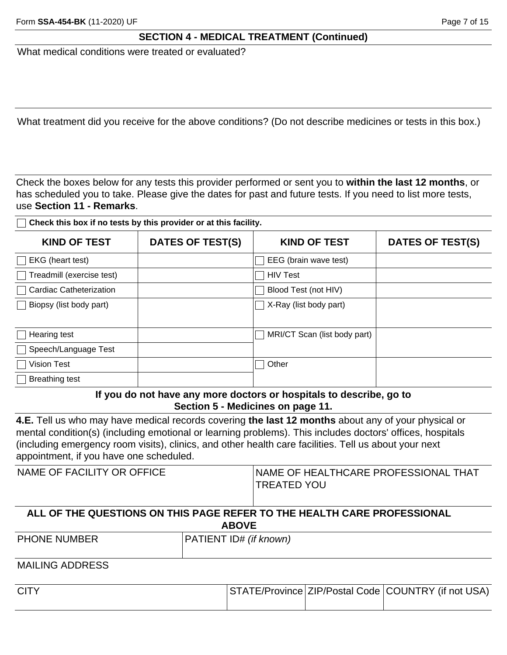What medical conditions were treated or evaluated?

What treatment did you receive for the above conditions? (Do not describe medicines or tests in this box.)

Check the boxes below for any tests this provider performed or sent you to **within the last 12 months**, or has scheduled you to take. Please give the dates for past and future tests. If you need to list more tests, use **Section 11 - Remarks**.

**Check this box if no tests by this provider or at this facility.**

| <b>KIND OF TEST</b>            | <b>DATES OF TEST(S)</b> | <b>KIND OF TEST</b>          | DATES OF TEST(S) |
|--------------------------------|-------------------------|------------------------------|------------------|
| EKG (heart test)               |                         | EEG (brain wave test)        |                  |
| Treadmill (exercise test)      |                         | <b>HIV Test</b>              |                  |
| <b>Cardiac Catheterization</b> |                         | Blood Test (not HIV)         |                  |
| Biopsy (list body part)        |                         | X-Ray (list body part)       |                  |
|                                |                         |                              |                  |
| Hearing test                   |                         | MRI/CT Scan (list body part) |                  |
| Speech/Language Test           |                         |                              |                  |
| <b>Vision Test</b>             |                         | Other                        |                  |
| <b>Breathing test</b>          |                         |                              |                  |

**If you do not have any more doctors or hospitals to describe, go to Section 5 - Medicines on page 11.**

**4.E.** Tell us who may have medical records covering **the last 12 months** about any of your physical or mental condition(s) (including emotional or learning problems). This includes doctors' offices, hospitals (including emergency room visits), clinics, and other health care facilities. Tell us about your next appointment, if you have one scheduled.

| NAME OF FACILITY OR OFFICE | <b>INAME OF HEALTHCARE PROFESSIONAL THAT</b> |
|----------------------------|----------------------------------------------|
|                            | TREATED YOU                                  |
|                            |                                              |

#### **ALL OF THE QUESTIONS ON THIS PAGE REFER TO THE HEALTH CARE PROFESSIONAL ABOVE**

| <b>PHONE NUMBER</b> | $\cdots$<br>own)<br>.U#<br>N. |
|---------------------|-------------------------------|
|                     |                               |

### MAILING ADDRESS

| <b>CITY</b> |  | STATE/Province ZIP/Postal Code COUNTRY (if not USA) |
|-------------|--|-----------------------------------------------------|
|             |  |                                                     |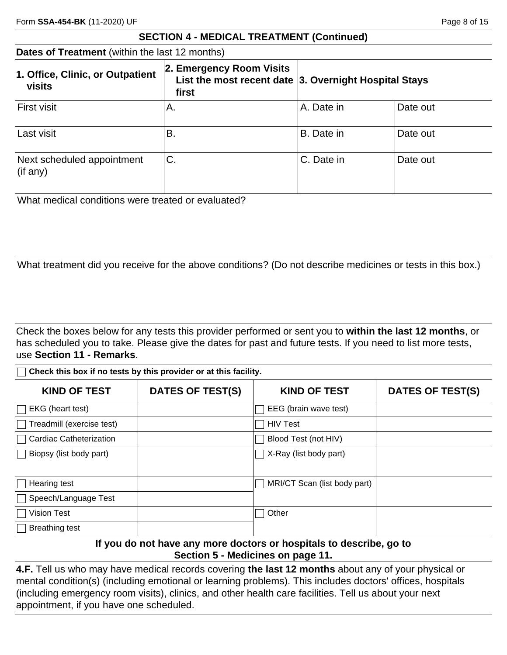| <b>Dates of Treatment</b> (within the last 12 months) |  |  |
|-------------------------------------------------------|--|--|
|-------------------------------------------------------|--|--|

| 1. Office, Clinic, or Outpatient<br><b>visits</b> | 2. Emergency Room Visits<br>List the most recent date $ 3$ . Overnight Hospital Stays<br>first |            |          |
|---------------------------------------------------|------------------------------------------------------------------------------------------------|------------|----------|
| <b>First visit</b>                                | Α.                                                                                             | A. Date in | Date out |
| Last visit                                        | ΪВ.                                                                                            | B. Date in | Date out |
| Next scheduled appointment<br>$($ if any $)$      | 'С.                                                                                            | C. Date in | Date out |

What medical conditions were treated or evaluated?

What treatment did you receive for the above conditions? (Do not describe medicines or tests in this box.)

Check the boxes below for any tests this provider performed or sent you to **within the last 12 months**, or has scheduled you to take. Please give the dates for past and future tests. If you need to list more tests, use **Section 11 - Remarks**.

**Check this box if no tests by this provider or at this facility.**

| <b>KIND OF TEST</b>            | <b>DATES OF TEST(S)</b> | <b>KIND OF TEST</b>          | DATES OF TEST(S) |
|--------------------------------|-------------------------|------------------------------|------------------|
| EKG (heart test)               |                         | EEG (brain wave test)        |                  |
| Treadmill (exercise test)      |                         | <b>HIV Test</b>              |                  |
| <b>Cardiac Catheterization</b> |                         | Blood Test (not HIV)         |                  |
| Biopsy (list body part)        |                         | X-Ray (list body part)       |                  |
| Hearing test                   |                         | MRI/CT Scan (list body part) |                  |
| Speech/Language Test           |                         |                              |                  |
| Vision Test                    |                         | Other                        |                  |
| <b>Breathing test</b>          |                         |                              |                  |

**If you do not have any more doctors or hospitals to describe, go to Section 5 - Medicines on page 11.**

**4.F.** Tell us who may have medical records covering **the last 12 months** about any of your physical or mental condition(s) (including emotional or learning problems). This includes doctors' offices, hospitals (including emergency room visits), clinics, and other health care facilities. Tell us about your next appointment, if you have one scheduled.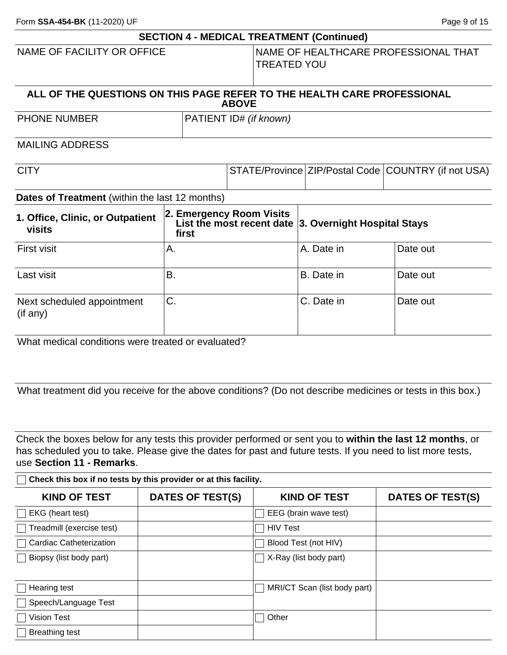Form **SSA-454-BK** (11-2020) UF **Page 9 of 15** 

|                                                                         |           |  |                          |  | <b>SECTION 4 - MEDICAL TREATMENT (Continued)</b>          |          |
|-------------------------------------------------------------------------|-----------|--|--------------------------|--|-----------------------------------------------------------|----------|
| NAME OF FACILITY OR OFFICE                                              |           |  | <b>TREATED YOU</b>       |  | NAME OF HEALTHCARE PROFESSIONAL THAT                      |          |
| ALL OF THE QUESTIONS ON THIS PAGE REFER TO THE HEALTH CARE PROFESSIONAL |           |  | <b>ABOVE</b>             |  |                                                           |          |
| PHONE NUMBER                                                            |           |  | PATIENT ID# (if known)   |  |                                                           |          |
| <b>MAILING ADDRESS</b>                                                  |           |  |                          |  |                                                           |          |
| <b>CITY</b>                                                             |           |  |                          |  | STATE/Province ZIP/Postal Code COUNTRY (if not USA)       |          |
| Dates of Treatment (within the last 12 months)                          |           |  |                          |  |                                                           |          |
| 1. Office, Clinic, or Outpatient<br>visits                              | first     |  | 2. Emergency Room Visits |  | List the most recent date $ 3$ . Overnight Hospital Stays |          |
| <b>First visit</b>                                                      | А.        |  |                          |  | A. Date in                                                | Date out |
| Last visit                                                              | <b>B.</b> |  |                          |  | B. Date in                                                | Date out |
| Next scheduled appointment<br>$($ if any $)$                            | C.        |  |                          |  | C. Date in                                                | Date out |
| What medical conditions were treated or evaluated?                      |           |  |                          |  |                                                           |          |

What treatment did you receive for the above conditions? (Do not describe medicines or tests in this box.)

Check the boxes below for any tests this provider performed or sent you to **within the last 12 months**, or has scheduled you to take. Please give the dates for past and future tests. If you need to list more tests, use **Section 11 - Remarks**.

**Check this box if no tests by this provider or at this facility.**

| <b>KIND OF TEST</b>                  | <b>DATES OF TEST(S)</b> | <b>KIND OF TEST</b>          | DATES OF TEST(S) |
|--------------------------------------|-------------------------|------------------------------|------------------|
| $\Box$ EKG (heart test)              |                         | EEG (brain wave test)        |                  |
| Treadmill (exercise test)            |                         | <b>HIV Test</b>              |                  |
| Cardiac Catheterization              |                         | Blood Test (not HIV)         |                  |
| Biopsy (list body part)              |                         | X-Ray (list body part)       |                  |
| $\Box$ Hearing test                  |                         | MRI/CT Scan (list body part) |                  |
| □ Speech/Language Test               |                         |                              |                  |
| $\overline{\phantom{a}}$ Vision Test |                         | Other                        |                  |
| <b>Breathing test</b>                |                         |                              |                  |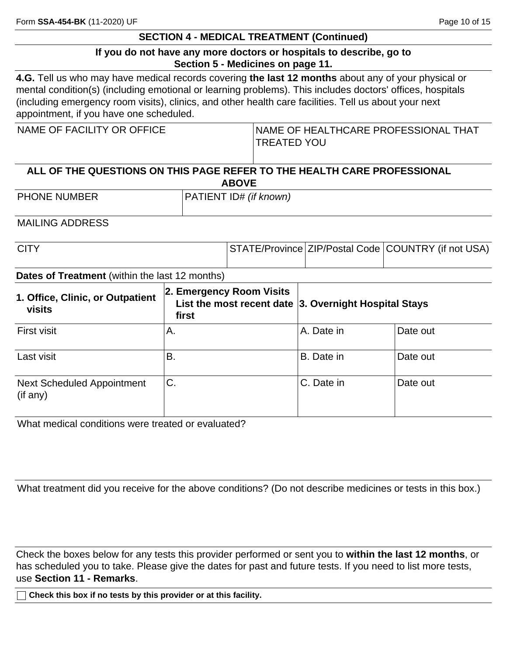### **If you do not have any more doctors or hospitals to describe, go to Section 5 - Medicines on page 11.**

**4.G.** Tell us who may have medical records covering **the last 12 months** about any of your physical or mental condition(s) (including emotional or learning problems). This includes doctors' offices, hospitals (including emergency room visits), clinics, and other health care facilities. Tell us about your next appointment, if you have one scheduled.

| NAME OF FACILITY OR OFFICE                                              | <b>INAME OF HEALTHCARE PROFESSIONAL THAT</b><br><b>TREATED YOU</b> |  |
|-------------------------------------------------------------------------|--------------------------------------------------------------------|--|
| ALL OF THE OUFOTIONS ON THIS BAGE BEEFS TO THE HEALTH GABE BROEFSSIONAL |                                                                    |  |

| ______________<br>.                                                     |  |  |
|-------------------------------------------------------------------------|--|--|
| <b>ABOVE</b>                                                            |  |  |
| ALL OF THE QUESTIONS ON THIS PAGE REFER TO THE HEALTH CARE PROFESSIONAL |  |  |

PHONE NUMBER **PHONE ID#** *(if known)* 

MAILING ADDRESS

| <b>CITY</b> |  | STATE/Province ZIP/Postal Code COUNTRY (if not USA) |
|-------------|--|-----------------------------------------------------|
|             |  |                                                     |

#### **Dates of Treatment** (within the last 12 months)

| 1. Office, Clinic, or Outpatient<br>visits    | 2. Emergency Room Visits<br>List the most recent date $ 3$ . Overnight Hospital Stays<br>first |            |          |
|-----------------------------------------------|------------------------------------------------------------------------------------------------|------------|----------|
| <b>First visit</b>                            | Α.                                                                                             | A. Date in | Date out |
| Last visit                                    | В.                                                                                             | B. Date in | Date out |
| <b>Next Scheduled Appointment</b><br>(if any) | 'C.                                                                                            | C. Date in | Date out |

What medical conditions were treated or evaluated?

What treatment did you receive for the above conditions? (Do not describe medicines or tests in this box.)

Check the boxes below for any tests this provider performed or sent you to **within the last 12 months**, or has scheduled you to take. Please give the dates for past and future tests. If you need to list more tests, use **Section 11 - Remarks**.

**Check this box if no tests by this provider or at this facility.**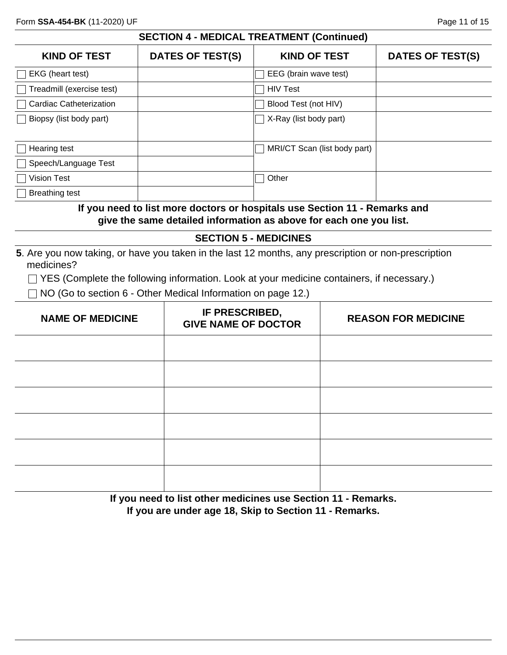| <b>KIND OF TEST</b>            | <b>DATES OF TEST(S)</b> | <b>KIND OF TEST</b>           | <b>DATES OF TEST(S)</b> |
|--------------------------------|-------------------------|-------------------------------|-------------------------|
| EKG (heart test)               |                         | EEG (brain wave test)         |                         |
| Treadmill (exercise test)      |                         | <b>HIV Test</b>               |                         |
| <b>Cardiac Catheterization</b> |                         | Blood Test (not HIV)          |                         |
| Biopsy (list body part)        |                         | $\Box$ X-Ray (list body part) |                         |
| Hearing test                   |                         | MRI/CT Scan (list body part)  |                         |
| Speech/Language Test           |                         |                               |                         |
| Vision Test                    |                         | Other                         |                         |
| Breathing test                 |                         |                               |                         |

### **If you need to list more doctors or hospitals use Section 11 - Remarks and give the same detailed information as above for each one you list.**

#### **SECTION 5 - MEDICINES**

**5**. Are you now taking, or have you taken in the last 12 months, any prescription or non-prescription medicines?

□ YES (Complete the following information. Look at your medicine containers, if necessary.)

 $\Box$  NO (Go to section 6 - Other Medical Information on page 12.)

| <b>NAME OF MEDICINE</b> | IF PRESCRIBED,<br><b>GIVE NAME OF DOCTOR</b> | <b>REASON FOR MEDICINE</b> |
|-------------------------|----------------------------------------------|----------------------------|
|                         |                                              |                            |
|                         |                                              |                            |
|                         |                                              |                            |
|                         |                                              |                            |
|                         |                                              |                            |
|                         |                                              |                            |

**If you need to list other medicines use Section 11 - Remarks. If you are under age 18, Skip to Section 11 - Remarks.**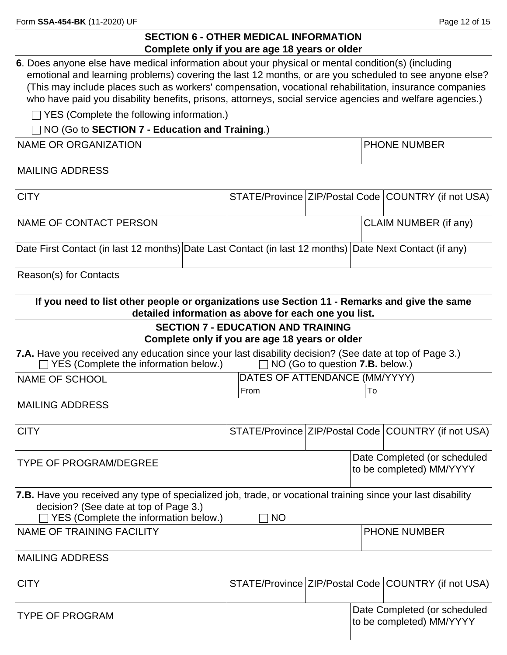### **SECTION 6 - OTHER MEDICAL INFORMATION Complete only if you are age 18 years or older**

**6**. Does anyone else have medical information about your physical or mental condition(s) (including emotional and learning problems) covering the last 12 months, or are you scheduled to see anyone else? (This may include places such as workers' compensation, vocational rehabilitation, insurance companies who have paid you disability benefits, prisons, attorneys, social service agencies and welfare agencies.)

□ YES (Complete the following information.)

### NO (Go to **SECTION 7 - Education and Training**.)

NAME OR ORGANIZATION PHONE NUMBER

MAILING ADDRESS

| <b>CITY</b>                                                                                                                                                                                     |                                                                                             |                                        |  | STATE/Province ZIP/Postal Code COUNTRY (if not USA)      |  |  |
|-------------------------------------------------------------------------------------------------------------------------------------------------------------------------------------------------|---------------------------------------------------------------------------------------------|----------------------------------------|--|----------------------------------------------------------|--|--|
| NAME OF CONTACT PERSON                                                                                                                                                                          |                                                                                             |                                        |  | CLAIM NUMBER (if any)                                    |  |  |
| Date First Contact (in last 12 months) Date Last Contact (in last 12 months)                                                                                                                    |                                                                                             |                                        |  | Date Next Contact (if any)                               |  |  |
| Reason(s) for Contacts                                                                                                                                                                          |                                                                                             |                                        |  |                                                          |  |  |
| If you need to list other people or organizations use Section 11 - Remarks and give the same                                                                                                    | detailed information as above for each one you list.                                        |                                        |  |                                                          |  |  |
|                                                                                                                                                                                                 | <b>SECTION 7 - EDUCATION AND TRAINING</b><br>Complete only if you are age 18 years or older |                                        |  |                                                          |  |  |
| 7.A. Have you received any education since your last disability decision? (See date at top of Page 3.)<br>YES (Complete the information below.)                                                 |                                                                                             | NO (Go to question <b>7.B.</b> below.) |  |                                                          |  |  |
| <b>NAME OF SCHOOL</b>                                                                                                                                                                           | DATES OF ATTENDANCE (MM/YYYY)                                                               |                                        |  |                                                          |  |  |
|                                                                                                                                                                                                 | From                                                                                        |                                        |  |                                                          |  |  |
| <b>MAILING ADDRESS</b>                                                                                                                                                                          |                                                                                             |                                        |  |                                                          |  |  |
| <b>CITY</b>                                                                                                                                                                                     |                                                                                             |                                        |  | STATE/Province ZIP/Postal Code COUNTRY (if not USA)      |  |  |
| <b>TYPE OF PROGRAM/DEGREE</b>                                                                                                                                                                   |                                                                                             |                                        |  | Date Completed (or scheduled<br>to be completed) MM/YYYY |  |  |
| 7.B. Have you received any type of specialized job, trade, or vocational training since your last disability<br>decision? (See date at top of Page 3.)<br>YES (Complete the information below.) | <b>NO</b>                                                                                   |                                        |  |                                                          |  |  |
| NAME OF TRAINING FACILITY                                                                                                                                                                       |                                                                                             |                                        |  | <b>PHONE NUMBER</b>                                      |  |  |
| <b>MAILING ADDRESS</b>                                                                                                                                                                          |                                                                                             |                                        |  |                                                          |  |  |
| <b>CITY</b>                                                                                                                                                                                     |                                                                                             |                                        |  | STATE/Province ZIP/Postal Code COUNTRY (if not USA)      |  |  |
| <b>TYPE OF PROGRAM</b>                                                                                                                                                                          |                                                                                             |                                        |  | Date Completed (or scheduled<br>to be completed) MM/YYYY |  |  |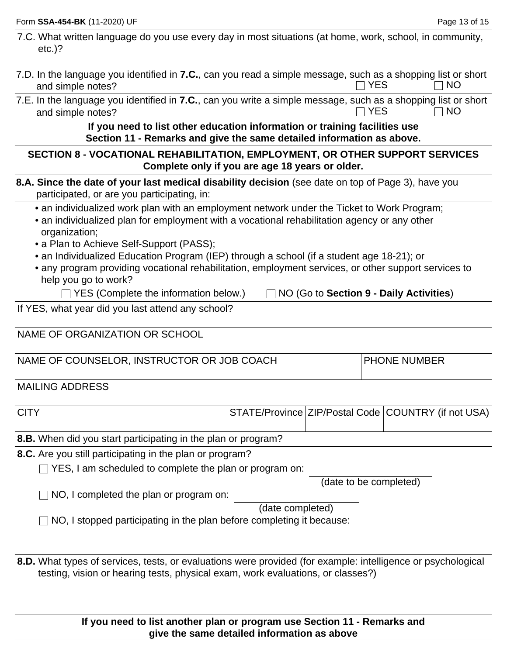| 7.C. What written language do you use every day in most situations (at home, work, school, in community,<br>$etc.$ )?             |            |      |
|-----------------------------------------------------------------------------------------------------------------------------------|------------|------|
| 7.D. In the language you identified in 7.C., can you read a simple message, such as a shopping list or short<br>and simple notes? | $\Box$ YES | ∏ NO |
| 7.E. In the language you identified in <b>7.C.</b> , can you write a simple message, such as a shopping list or short             |            |      |

and simple notes?  $\Box$  YES  $\Box$  NO

**If you need to list other education information or training facilities use Section 11 - Remarks and give the same detailed information as above.**

### **SECTION 8 - VOCATIONAL REHABILITATION, EMPLOYMENT, OR OTHER SUPPORT SERVICES Complete only if you are age 18 years or older.**

**8.A. Since the date of your last medical disability decision** (see date on top of Page 3), have you participated, or are you participating, in:

• an individualized work plan with an employment network under the Ticket to Work Program;

- an individualized plan for employment with a vocational rehabilitation agency or any other organization;
- a Plan to Achieve Self-Support (PASS);
- an Individualized Education Program (IEP) through a school (if a student age 18-21); or
- any program providing vocational rehabilitation, employment services, or other support services to help you go to work?

□ YES (Complete the information below.) □ NO (Go to **Section 9 - Daily Activities**)

If YES, what year did you last attend any school?

NAME OF ORGANIZATION OR SCHOOL

NAME OF COUNSELOR, INSTRUCTOR OR JOB COACH PHONE NUMBER

MAILING ADDRESS

| <b>CITY</b> |  | STATE/Province ZIP/Postal Code COUNTRY (if not USA) |
|-------------|--|-----------------------------------------------------|
| ----<br>.   |  |                                                     |

**8.B.** When did you start participating in the plan or program?

**8.C.** Are you still participating in the plan or program?

 $\Box$  YES, I am scheduled to complete the plan or program on:

(date to be completed)

 $\Box$  NO, I completed the plan or program on:

(date completed)

 $\Box$  NO, I stopped participating in the plan before completing it because:

**8.D.** What types of services, tests, or evaluations were provided (for example: intelligence or psychological testing, vision or hearing tests, physical exam, work evaluations, or classes?)

> **If you need to list another plan or program use Section 11 - Remarks and give the same detailed information as above**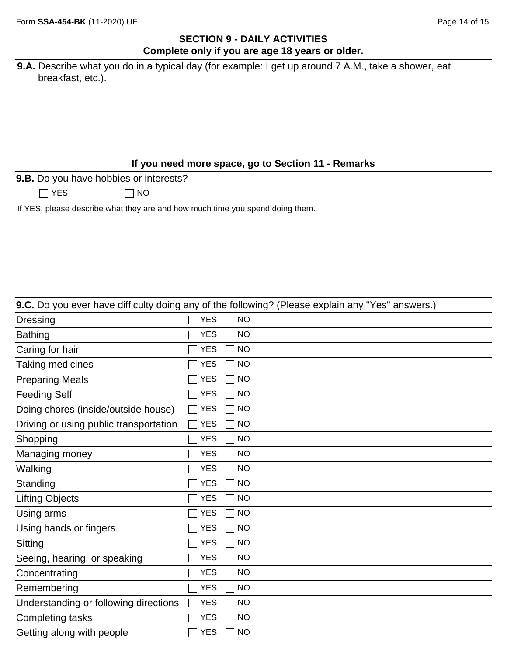### **SECTION 9 - DAILY ACTIVITIES Complete only if you are age 18 years or older.**

| <b>9.A.</b> Describe what you do in a typical day (for example: I get up around 7 A.M., take a shower, eat |  |  |  |  |  |  |
|------------------------------------------------------------------------------------------------------------|--|--|--|--|--|--|
| breakfast, etc.).                                                                                          |  |  |  |  |  |  |

### **If you need more space, go to Section 11 - Remarks**

**9.B.** Do you have hobbies or interests?

 $\Box$  YES  $\Box$  NO

If YES, please describe what they are and how much time you spend doing them.

|                                        |            | 9.C. Do you ever have difficulty doing any of the following? (Please explain any "Yes" answers.) |
|----------------------------------------|------------|--------------------------------------------------------------------------------------------------|
| <b>Dressing</b>                        | <b>YES</b> | <b>NO</b>                                                                                        |
| <b>Bathing</b>                         | <b>YES</b> | <b>NO</b>                                                                                        |
| Caring for hair                        | <b>YES</b> | <b>NO</b>                                                                                        |
| <b>Taking medicines</b>                | <b>YES</b> | <b>NO</b>                                                                                        |
| <b>Preparing Meals</b>                 | <b>YES</b> | <b>NO</b>                                                                                        |
| <b>Feeding Self</b>                    | <b>YES</b> | <b>NO</b>                                                                                        |
| Doing chores (inside/outside house)    | <b>YES</b> | <b>NO</b>                                                                                        |
| Driving or using public transportation | <b>YES</b> | <b>NO</b>                                                                                        |
| Shopping                               | <b>YES</b> | <b>NO</b>                                                                                        |
| Managing money                         | <b>YES</b> | <b>NO</b>                                                                                        |
| Walking                                | <b>YES</b> | <b>NO</b>                                                                                        |
| Standing                               | <b>YES</b> | <b>NO</b>                                                                                        |
| <b>Lifting Objects</b>                 | <b>YES</b> | <b>NO</b>                                                                                        |
| Using arms                             | <b>YES</b> | <b>NO</b>                                                                                        |
| Using hands or fingers                 | <b>YES</b> | <b>NO</b>                                                                                        |
| Sitting                                | <b>YES</b> | <b>NO</b>                                                                                        |
| Seeing, hearing, or speaking           | <b>YES</b> | <b>NO</b>                                                                                        |
| Concentrating                          | YES        | <b>NO</b>                                                                                        |
| Remembering                            | <b>YES</b> | <b>NO</b>                                                                                        |
| Understanding or following directions  | <b>YES</b> | <b>NO</b>                                                                                        |
| <b>Completing tasks</b>                | YES        | <b>NO</b>                                                                                        |
| Getting along with people              | <b>YES</b> | <b>NO</b>                                                                                        |
|                                        |            |                                                                                                  |